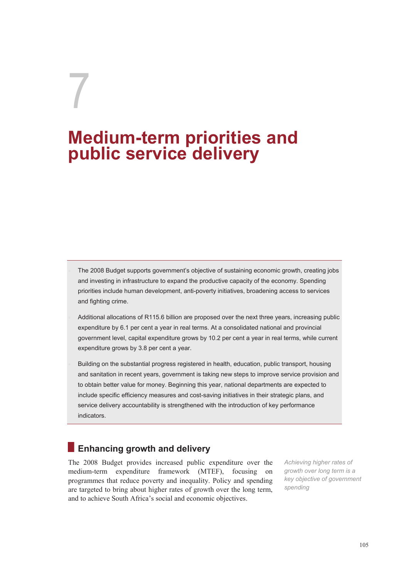# 7 **Medium-term priorities and public service delivery**

- The 2008 Budget supports government's objective of sustaining economic growth, creating jobs and investing in infrastructure to expand the productive capacity of the economy. Spending priorities include human development, anti-poverty initiatives, broadening access to services and fighting crime.
- Additional allocations of R115.6 billion are proposed over the next three years, increasing public expenditure by 6.1 per cent a year in real terms. At a consolidated national and provincial government level, capital expenditure grows by 10.2 per cent a year in real terms, while current expenditure grows by 3.8 per cent a year.
- Building on the substantial progress registered in health, education, public transport, housing and sanitation in recent years, government is taking new steps to improve service provision and to obtain better value for money. Beginning this year, national departments are expected to include specific efficiency measures and cost-saving initiatives in their strategic plans, and service delivery accountability is strengthened with the introduction of key performance indicators.

# **Enhancing growth and delivery**

The 2008 Budget provides increased public expenditure over the medium-term expenditure framework (MTEF), focusing on programmes that reduce poverty and inequality. Policy and spending are targeted to bring about higher rates of growth over the long term, and to achieve South Africa's social and economic objectives.

*Achieving higher rates of growth over long term is a key objective of government spending*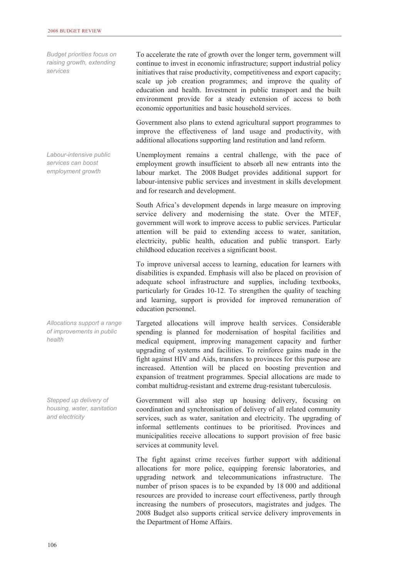*Budget priorities focus on raising growth, extending services* 

*Labour-intensive public services can boost employment growth* 

*Allocations support a range of improvements in public health* 

*Stepped up delivery of housing, water, sanitation and electricity* 

To accelerate the rate of growth over the longer term, government will continue to invest in economic infrastructure; support industrial policy initiatives that raise productivity, competitiveness and export capacity; scale up job creation programmes; and improve the quality of education and health. Investment in public transport and the built environment provide for a steady extension of access to both economic opportunities and basic household services.

Government also plans to extend agricultural support programmes to improve the effectiveness of land usage and productivity, with additional allocations supporting land restitution and land reform.

Unemployment remains a central challenge, with the pace of employment growth insufficient to absorb all new entrants into the labour market. The 2008 Budget provides additional support for labour-intensive public services and investment in skills development and for research and development.

South Africa's development depends in large measure on improving service delivery and modernising the state. Over the MTEF, government will work to improve access to public services. Particular attention will be paid to extending access to water, sanitation, electricity, public health, education and public transport. Early childhood education receives a significant boost.

To improve universal access to learning, education for learners with disabilities is expanded. Emphasis will also be placed on provision of adequate school infrastructure and supplies, including textbooks, particularly for Grades 10-12. To strengthen the quality of teaching and learning, support is provided for improved remuneration of education personnel.

Targeted allocations will improve health services. Considerable spending is planned for modernisation of hospital facilities and medical equipment, improving management capacity and further upgrading of systems and facilities. To reinforce gains made in the fight against HIV and Aids, transfers to provinces for this purpose are increased. Attention will be placed on boosting prevention and expansion of treatment programmes. Special allocations are made to combat multidrug-resistant and extreme drug-resistant tuberculosis.

Government will also step up housing delivery, focusing on coordination and synchronisation of delivery of all related community services, such as water, sanitation and electricity. The upgrading of informal settlements continues to be prioritised. Provinces and municipalities receive allocations to support provision of free basic services at community level.

The fight against crime receives further support with additional allocations for more police, equipping forensic laboratories, and upgrading network and telecommunications infrastructure. The number of prison spaces is to be expanded by 18 000 and additional resources are provided to increase court effectiveness, partly through increasing the numbers of prosecutors, magistrates and judges. The 2008 Budget also supports critical service delivery improvements in the Department of Home Affairs.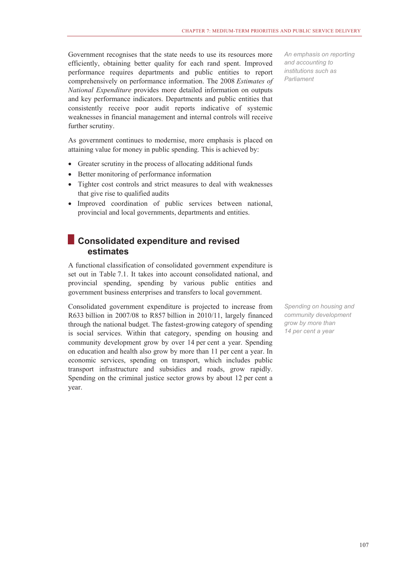Government recognises that the state needs to use its resources more efficiently, obtaining better quality for each rand spent. Improved performance requires departments and public entities to report comprehensively on performance information. The 2008 *Estimates of National Expenditure* provides more detailed information on outputs and key performance indicators. Departments and public entities that consistently receive poor audit reports indicative of systemic weaknesses in financial management and internal controls will receive further scrutiny.

As government continues to modernise, more emphasis is placed on attaining value for money in public spending. This is achieved by:

- Greater scrutiny in the process of allocating additional funds
- Better monitoring of performance information
- Tighter cost controls and strict measures to deal with weaknesses that give rise to qualified audits
- Improved coordination of public services between national, provincial and local governments, departments and entities.

### **Consolidated expenditure and revised estimates**

A functional classification of consolidated government expenditure is set out in Table 7.1. It takes into account consolidated national, and provincial spending, spending by various public entities and government business enterprises and transfers to local government.

Consolidated government expenditure is projected to increase from R633 billion in 2007/08 to R857 billion in 2010/11, largely financed through the national budget. The fastest-growing category of spending is social services. Within that category, spending on housing and community development grow by over 14 per cent a year. Spending on education and health also grow by more than 11 per cent a year. In economic services, spending on transport, which includes public transport infrastructure and subsidies and roads, grow rapidly. Spending on the criminal justice sector grows by about 12 per cent a year.

*An emphasis on reporting and accounting to institutions such as Parliament* 

*Spending on housing and community development grow by more than 14 per cent a year*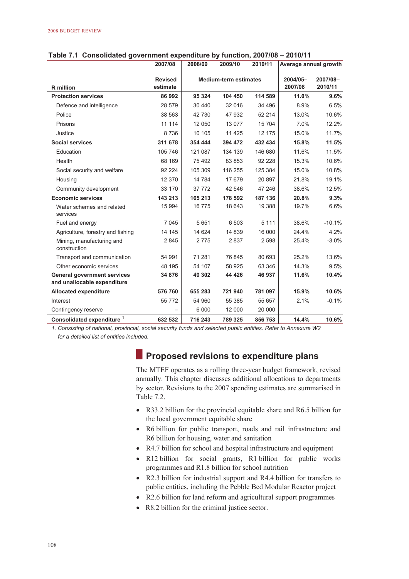|                                                                   | 2007/08                    | 2008/09                      | 2009/10 | 2010/11 | Average annual growth |                     |
|-------------------------------------------------------------------|----------------------------|------------------------------|---------|---------|-----------------------|---------------------|
| <b>R</b> million                                                  | <b>Revised</b><br>estimate | <b>Medium-term estimates</b> |         |         |                       | 2007/08-<br>2010/11 |
| <b>Protection services</b>                                        | 86 992                     | 95 324                       | 104 450 | 114 589 | 11.0%                 | 9.6%                |
| Defence and intelligence                                          | 28 579                     | 30 440                       | 32 016  | 34 496  | 8.9%                  | 6.5%                |
| Police                                                            | 38 563                     | 42 730                       | 47 932  | 52 214  | 13.0%                 | 10.6%               |
| Prisons                                                           | 11 114                     | 12 050                       | 13 0 77 | 15 704  | 7.0%                  | 12.2%               |
| Justice                                                           | 8736                       | 10 105                       | 11 4 25 | 12 175  | 15.0%                 | 11.7%               |
| <b>Social services</b>                                            | 311 678                    | 354 444                      | 394 472 | 432 434 | 15.8%                 | 11.5%               |
| Education                                                         | 105 746                    | 121 087                      | 134 139 | 146 680 | 11.6%                 | 11.5%               |
| Health                                                            | 68 169                     | 75 492                       | 83 853  | 92 228  | 15.3%                 | 10.6%               |
| Social security and welfare                                       | 92 2 2 4                   | 105 309                      | 116 255 | 125 384 | 15.0%                 | 10.8%               |
| Housing                                                           | 12 370                     | 14 784                       | 17 679  | 20 897  | 21.8%                 | 19.1%               |
| Community development                                             | 33 170                     | 37 772                       | 42 546  | 47 246  | 38.6%                 | 12.5%               |
| <b>Economic services</b>                                          | 143 213                    | 165 213                      | 178 592 | 187 136 | 20.8%                 | 9.3%                |
| Water schemes and related<br>services                             | 15 994                     | 16775                        | 18 643  | 19 388  | 19.7%                 | 6.6%                |
| Fuel and energy                                                   | 7 0 4 5                    | 5651                         | 6 503   | 5 1 1 1 | 38.6%                 | $-10.1%$            |
| Agriculture, forestry and fishing                                 | 14 145                     | 14 624                       | 14 839  | 16 000  | 24.4%                 | 4.2%                |
| Mining, manufacturing and<br>construction                         | 2845                       | 2775                         | 2837    | 2 5 9 8 | 25.4%                 | $-3.0%$             |
| Transport and communication                                       | 54 991                     | 71 281                       | 76 845  | 80 693  | 25.2%                 | 13.6%               |
| Other economic services                                           | 48 195                     | 54 107                       | 58 925  | 63 346  | 14.3%                 | 9.5%                |
| <b>General government services</b><br>and unallocable expenditure | 34 876                     | 40 302                       | 44 4 26 | 46 937  | 11.6%                 | 10.4%               |
| <b>Allocated expenditure</b>                                      | 576 760                    | 655 283                      | 721 940 | 781 097 | 15.9%                 | 10.6%               |
| Interest                                                          | 55 772                     | 54 960                       | 55 385  | 55 657  | 2.1%                  | $-0.1%$             |
| Contingency reserve                                               |                            | 6 0 0 0                      | 12 000  | 20 000  |                       |                     |
| Consolidated expenditure <sup>1</sup>                             | 632 532                    | 716 243                      | 789 325 | 856 753 | 14.4%                 | 10.6%               |

#### **Table 7.1 Consolidated government expenditure by function, 2007/08 – 2010/11**

*1. Consisting of national, provincial, social security funds and selected public entities. Refer to Annexure W2 for a detailed list of entities included.*

## **Proposed revisions to expenditure plans**

The MTEF operates as a rolling three-year budget framework, revised annually. This chapter discusses additional allocations to departments by sector. Revisions to the 2007 spending estimates are summarised in Table 7.2.

- R33.2 billion for the provincial equitable share and R6.5 billion for the local government equitable share
- R6 billion for public transport, roads and rail infrastructure and R6 billion for housing, water and sanitation
- R4.7 billion for school and hospital infrastructure and equipment
- R12 billion for social grants, R1 billion for public works programmes and R1.8 billion for school nutrition
- R2.3 billion for industrial support and R4.4 billion for transfers to public entities, including the Pebble Bed Modular Reactor project
- R2.6 billion for land reform and agricultural support programmes
- R8.2 billion for the criminal justice sector.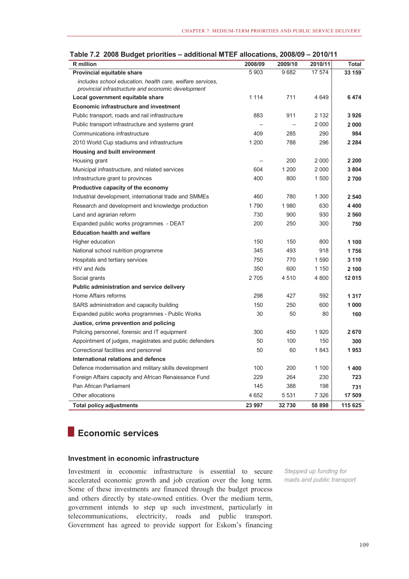| <b>R</b> million                                                                                                | 2008/09 | 2009/10 | 2010/11 | Total   |
|-----------------------------------------------------------------------------------------------------------------|---------|---------|---------|---------|
| Provincial equitable share                                                                                      | 5903    | 9682    | 17 574  | 33 159  |
| includes school education, health care, welfare services,<br>provincial infrastructure and economic development |         |         |         |         |
| Local government equitable share                                                                                | 1 1 1 4 | 711     | 4649    | 6474    |
| Economic infrastructure and investment                                                                          |         |         |         |         |
| Public transport, roads and rail infrastructure                                                                 | 883     | 911     | 2 1 3 2 | 3926    |
| Public transport infrastructure and systems grant                                                               |         |         | 2 0 0 0 | 2 0 0 0 |
| Communications infrastructure                                                                                   | 409     | 285     | 290     | 984     |
| 2010 World Cup stadiums and infrastructure                                                                      | 1 200   | 788     | 296     | 2 2 8 4 |
| Housing and built environment                                                                                   |         |         |         |         |
| Housing grant                                                                                                   |         | 200     | 2 000   | 2 2 0 0 |
| Municipal infrastructure, and related services                                                                  | 604     | 1 200   | 2 0 0 0 | 3804    |
| Infrastructure grant to provinces                                                                               | 400     | 800     | 1 500   | 2700    |
| Productive capacity of the economy                                                                              |         |         |         |         |
| Industrial development, international trade and SMMEs                                                           | 460     | 780     | 1 300   | 2 5 4 0 |
| Research and development and knowledge production                                                               | 1790    | 1980    | 630     | 4 4 0 0 |
| Land and agrarian reform                                                                                        | 730     | 900     | 930     | 2 5 6 0 |
| Expanded public works programmes - DEAT                                                                         | 200     | 250     | 300     | 750     |
| <b>Education health and welfare</b>                                                                             |         |         |         |         |
| Higher education                                                                                                | 150     | 150     | 800     | 1 100   |
| National school nutrition programme                                                                             | 345     | 493     | 918     | 1756    |
| Hospitals and tertiary services                                                                                 | 750     | 770     | 1590    | 3 1 1 0 |
| HIV and Aids                                                                                                    | 350     | 600     | 1 150   | 2 100   |
| Social grants                                                                                                   | 2705    | 4510    | 4 800   | 12 015  |
| Public administration and service delivery                                                                      |         |         |         |         |
| Home Affairs reforms                                                                                            | 298     | 427     | 592     | 1 3 1 7 |
| SARS administration and capacity building                                                                       | 150     | 250     | 600     | 1000    |
| Expanded public works programmes - Public Works                                                                 | 30      | 50      | 80      | 160     |
| Justice, crime prevention and policing                                                                          |         |         |         |         |
| Policing personnel, forensic and IT equipment                                                                   | 300     | 450     | 1920    | 2670    |
| Appointment of judges, magistrates and public defenders                                                         | 50      | 100     | 150     | 300     |
| Correctional facilities and personnel                                                                           | 50      | 60      | 1843    | 1953    |
| International relations and defence                                                                             |         |         |         |         |
| Defence modernisation and military skills development                                                           | 100     | 200     | 1 100   | 1400    |
| Foreign Affairs capacity and African Renaissance Fund                                                           | 229     | 264     | 230     | 723     |
| Pan African Parliament                                                                                          | 145     | 388     | 198     | 731     |
| Other allocations                                                                                               | 4 6 5 2 | 5 5 3 1 | 7 3 2 6 | 17 509  |
| <b>Total policy adjustments</b>                                                                                 | 23 997  | 32730   | 58 898  | 115 625 |

|  | Table 7.2 2008 Budget priorities - additional MTEF allocations, 2008/09 - 2010/11 |  |  |
|--|-----------------------------------------------------------------------------------|--|--|
|  |                                                                                   |  |  |

# **Economic services**

#### **Investment in economic infrastructure**

Investment in economic infrastructure is essential to secure accelerated economic growth and job creation over the long term. Some of these investments are financed through the budget process and others directly by state-owned entities. Over the medium term, government intends to step up such investment, particularly in telecommunications, electricity, roads and public transport. Government has agreed to provide support for Eskom's financing

*Stepped up funding for roads and public transport*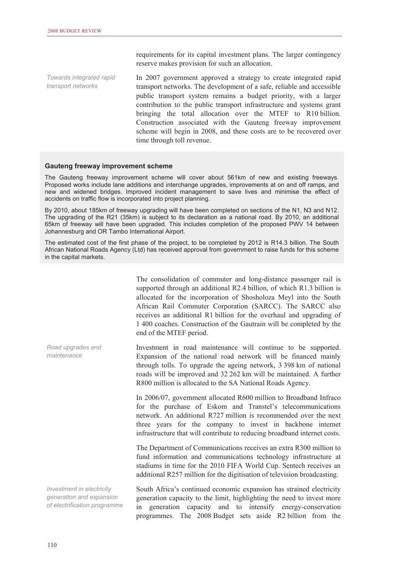requirements for its capital investment plans. The larger contingency reserve makes provision for such an allocation.

The consolidation of commuter and long-distance passenger rail is

In 2007 government approved a strategy to create integrated rapid transport networks. The development of a safe, reliable and accessible public transport system remains a budget priority, with a larger contribution to the public transport infrastructure and systems grant bringing the total allocation over the MTEF to R10 billion. Construction associated with the Gauteng freeway improvement scheme will begin in 2008, and these costs are to be recovered over time through toll revenue. *Towards integrated rapid transport networks* 

#### **Gauteng freeway improvement scheme**

The Gauteng freeway improvement scheme will cover about 561km of new and existing freeways. Proposed works include lane additions and interchange upgrades, improvements at on and off ramps, and new and widened bridges. Improved incident management to save lives and minimise the effect of accidents on traffic flow is incorporated into project planning.

By 2010, about 185km of freeway upgrading will have been completed on sections of the N1, N3 and N12. The upgrading of the R21 (35km) is subject to its declaration as a national road. By 2010, an additional 65km of freeway will have been upgraded. This includes completion of the proposed PWV 14 between Johannesburg and OR Tambo International Airport.

The estimated cost of the first phase of the project, to be completed by 2012 is R14.3 billion. The South African National Roads Agency (Ltd) has received approval from government to raise funds for this scheme in the capital markets.

|                                                                                       | supported through an additional R2.4 billion, of which R1.3 billion is<br>allocated for the incorporation of Shosholoza Meyl into the South<br>African Rail Commuter Corporation (SARCC). The SARCC also<br>receives an additional R1 billion for the overhaul and upgrading of<br>1 400 coaches. Construction of the Gautrain will be completed by the<br>end of the MTEF period. |
|---------------------------------------------------------------------------------------|------------------------------------------------------------------------------------------------------------------------------------------------------------------------------------------------------------------------------------------------------------------------------------------------------------------------------------------------------------------------------------|
| Road upgrades and<br>maintenance                                                      | Investment in road maintenance will continue to be supported.<br>Expansion of the national road network will be financed mainly<br>through tolls. To upgrade the ageing network, 3 398 km of national<br>roads will be improved and 32 262 km will be maintained. A further<br>R800 million is allocated to the SA National Roads Agency.                                          |
|                                                                                       | In 2006/07, government allocated R600 million to Broadband Infraco<br>for the purchase of Eskom and Transtel's telecommunications<br>network. An additional R727 million is recommended over the next<br>three years for the company to invest in backbone internet<br>infrastructure that will contribute to reducing broadband internet costs.                                   |
|                                                                                       | The Department of Communications receives an extra R300 million to<br>fund information and communications technology infrastructure at<br>stadiums in time for the 2010 FIFA World Cup. Sentech receives an<br>additional R257 million for the digitisation of television broadcasting.                                                                                            |
| Investment in electricity<br>generation and expansion<br>of electrification programme | South Africa's continued economic expansion has strained electricity<br>generation capacity to the limit, highlighting the need to invest more<br>generation capacity and to intensify energy-conservation<br>in<br>programmes. The 2008 Budget sets aside R2 billion from the                                                                                                     |
| 110                                                                                   |                                                                                                                                                                                                                                                                                                                                                                                    |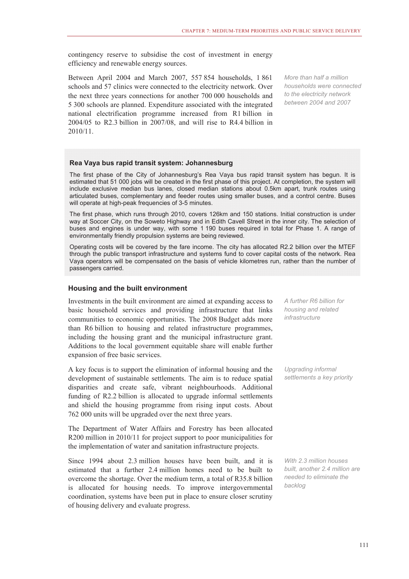contingency reserve to subsidise the cost of investment in energy efficiency and renewable energy sources.

Between April 2004 and March 2007, 557 854 households, 1 861 schools and 57 clinics were connected to the electricity network. Over the next three years connections for another 700 000 households and 5 300 schools are planned. Expenditure associated with the integrated national electrification programme increased from R1 billion in 2004/05 to R2.3 billion in 2007/08, and will rise to R4.4 billion in 2010/11.

*More than half a million households were connected to the electricity network between 2004 and 2007* 

#### **Rea Vaya bus rapid transit system: Johannesburg**

The first phase of the City of Johannesburg's Rea Vaya bus rapid transit system has begun. It is estimated that 51 000 jobs will be created in the first phase of this project. At completion, the system will include exclusive median bus lanes, closed median stations about 0.5km apart, trunk routes using articulated buses, complementary and feeder routes using smaller buses, and a control centre. Buses will operate at high-peak frequencies of 3-5 minutes.

The first phase, which runs through 2010, covers 126km and 150 stations. Initial construction is under way at Soccer City, on the Soweto Highway and in Edith Cavell Street in the inner city. The selection of buses and engines is under way, with some 1 190 buses required in total for Phase 1. A range of environmentally friendly propulsion systems are being reviewed.

Operating costs will be covered by the fare income. The city has allocated R2.2 billion over the MTEF through the public transport infrastructure and systems fund to cover capital costs of the network. Rea Vaya operators will be compensated on the basis of vehicle kilometres run, rather than the number of passengers carried.

#### **Housing and the built environment**

Investments in the built environment are aimed at expanding access to basic household services and providing infrastructure that links communities to economic opportunities. The 2008 Budget adds more than R6 billion to housing and related infrastructure programmes, including the housing grant and the municipal infrastructure grant. Additions to the local government equitable share will enable further expansion of free basic services.

A key focus is to support the elimination of informal housing and the development of sustainable settlements. The aim is to reduce spatial disparities and create safe, vibrant neighbourhoods. Additional funding of R2.2 billion is allocated to upgrade informal settlements and shield the housing programme from rising input costs. About 762 000 units will be upgraded over the next three years.

The Department of Water Affairs and Forestry has been allocated R200 million in 2010/11 for project support to poor municipalities for the implementation of water and sanitation infrastructure projects.

Since 1994 about 2.3 million houses have been built, and it is estimated that a further 2.4 million homes need to be built to overcome the shortage. Over the medium term, a total of R35.8 billion is allocated for housing needs. To improve intergovernmental coordination, systems have been put in place to ensure closer scrutiny of housing delivery and evaluate progress.

*A further R6 billion for housing and related infrastructure* 

*Upgrading informal settlements a key priority* 

*With 2.3 million houses built, another 2.4 million are needed to eliminate the backlog*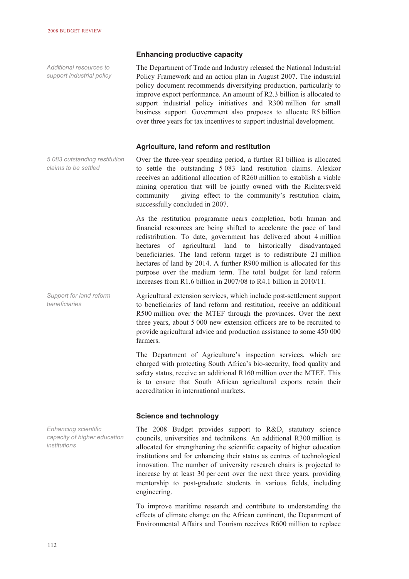**Enhancing productive capacity** 

The Department of Trade and Industry released the National Industrial Policy Framework and an action plan in August 2007. The industrial policy document recommends diversifying production, particularly to improve export performance. An amount of R2.3 billion is allocated to support industrial policy initiatives and R300 million for small business support. Government also proposes to allocate R5 billion over three years for tax incentives to support industrial development. **Agriculture, land reform and restitution**  Over the three-year spending period, a further R1 billion is allocated to settle the outstanding 5 083 land restitution claims. Alexkor receives an additional allocation of R260 million to establish a viable mining operation that will be jointly owned with the Richtersveld community – giving effect to the community's restitution claim, successfully concluded in 2007. As the restitution programme nears completion, both human and financial resources are being shifted to accelerate the pace of land redistribution. To date, government has delivered about 4 million hectares of agricultural land to historically disadvantaged beneficiaries. The land reform target is to redistribute 21 million hectares of land by 2014. A further R900 million is allocated for this purpose over the medium term. The total budget for land reform increases from R1.6 billion in 2007/08 to R4.1 billion in 2010/11. Agricultural extension services, which include post-settlement support to beneficiaries of land reform and restitution, receive an additional R500 million over the MTEF through the provinces. Over the next three years, about 5 000 new extension officers are to be recruited to provide agricultural advice and production assistance to some 450 000 farmers. The Department of Agriculture's inspection services, which are charged with protecting South Africa's bio-security, food quality and safety status, receive an additional R160 million over the MTEF. This is to ensure that South African agricultural exports retain their *Additional resources to support industrial policy 5 083 outstanding restitution claims to be settled Support for land reform beneficiaries* 

#### **Science and technology**

accreditation in international markets.

The 2008 Budget provides support to R&D, statutory science councils, universities and technikons. An additional R300 million is allocated for strengthening the scientific capacity of higher education institutions and for enhancing their status as centres of technological innovation. The number of university research chairs is projected to increase by at least 30 per cent over the next three years, providing mentorship to post-graduate students in various fields, including engineering.

To improve maritime research and contribute to understanding the effects of climate change on the African continent, the Department of Environmental Affairs and Tourism receives R600 million to replace

*Enhancing scientific capacity of higher education institutions*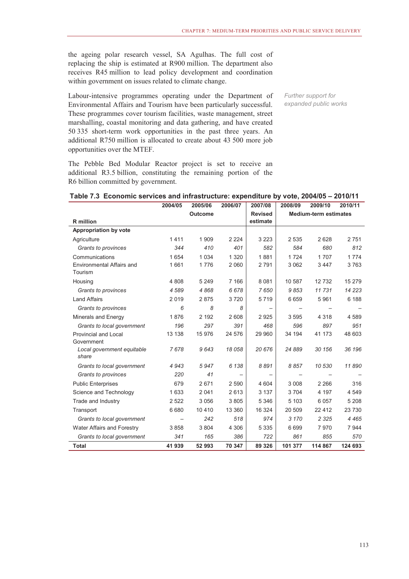the ageing polar research vessel, SA Agulhas. The full cost of replacing the ship is estimated at R900 million. The department also receives R45 million to lead policy development and coordination within government on issues related to climate change.

Labour-intensive programmes operating under the Department of Environmental Affairs and Tourism have been particularly successful. These programmes cover tourism facilities, waste management, street marshalling, coastal monitoring and data gathering, and have created 50 335 short-term work opportunities in the past three years. An additional R750 million is allocated to create about 43 500 more job opportunities over the MTEF.

The Pebble Bed Modular Reactor project is set to receive an additional R3.5 billion, constituting the remaining portion of the R6 billion committed by government.

*Further support for expanded public works* 

| Table 7.3 Economic services and infrastructure: expenditure by vote, 2004/05 - 2010/11 |  |  |
|----------------------------------------------------------------------------------------|--|--|
|----------------------------------------------------------------------------------------|--|--|

|                                           | 2004/05        | 2005/06 | 2006/07                  | 2007/08                      | 2008/09 | 2009/10 | 2010/11 |
|-------------------------------------------|----------------|---------|--------------------------|------------------------------|---------|---------|---------|
|                                           | <b>Outcome</b> |         | <b>Revised</b>           | <b>Medium-term estimates</b> |         |         |         |
| <b>R</b> million                          |                |         |                          | estimate                     |         |         |         |
| <b>Appropriation by vote</b>              |                |         |                          |                              |         |         |         |
| Agriculture                               | 1411           | 1 9 0 9 | 2 2 2 4                  | 3 2 2 3                      | 2 5 3 5 | 2628    | 2751    |
| Grants to provinces                       | 344            | 410     | 401                      | 582                          | 584     | 680     | 812     |
| Communications                            | 1 6 5 4        | 1 0 3 4 | 1 3 2 0                  | 1881                         | 1724    | 1707    | 1 7 7 4 |
| Environmental Affairs and<br>Tourism      | 1661           | 1776    | 2 0 6 0                  | 2791                         | 3 0 6 2 | 3 4 4 7 | 3763    |
| Housing                                   | 4808           | 5 2 4 9 | 7 1 6 6                  | 8 0 8 1                      | 10 587  | 12732   | 15 279  |
| Grants to provinces                       | 4589           | 4868    | 6678                     | 7650                         | 9853    | 11 731  | 14 223  |
| <b>Land Affairs</b>                       | 2019           | 2875    | 3720                     | 5719                         | 6659    | 5961    | 6 188   |
| Grants to provinces                       | 6              | 8       | 8                        |                              |         |         |         |
| Minerals and Energy                       | 1876           | 2 1 9 2 | 2 608                    | 2925                         | 3595    | 4 3 1 8 | 4 5 8 9 |
| Grants to local government                | 196            | 297     | 391                      | 468                          | 596     | 897     | 951     |
| <b>Provincial and Local</b><br>Government | 13 138         | 15 976  | 24 576                   | 29 960                       | 34 194  | 41 173  | 48 603  |
| Local government equitable<br>share       | 7678           | 9643    | 18 058                   | 20 676                       | 24 889  | 30 156  | 36 196  |
| Grants to local government                | 4943           | 5947    | 6 1 3 8                  | 8891                         | 8857    | 10 530  | 11890   |
| Grants to provinces                       | 220            | 41      | $\overline{\phantom{m}}$ |                              |         |         |         |
| <b>Public Enterprises</b>                 | 679            | 2671    | 2 5 9 0                  | 4 604                        | 3 0 0 8 | 2 2 6 6 | 316     |
| Science and Technology                    | 1 6 3 3        | 2 0 4 1 | 2613                     | 3 1 3 7                      | 3704    | 4 1 9 7 | 4 5 4 9 |
| Trade and Industry                        | 2 5 2 2        | 3 0 5 6 | 3805                     | 5 3 4 6                      | 5 1 0 3 | 6 0 5 7 | 5 2 0 8 |
| Transport                                 | 6 6 8 0        | 10 4 10 | 13 360                   | 16 324                       | 20 509  | 22 4 12 | 23 730  |
| Grants to local government                |                | 242     | 518                      | 974                          | 3 1 7 0 | 2 3 2 5 | 4 4 6 5 |
| Water Affairs and Forestry                | 3858           | 3 8 0 4 | 4 3 0 6                  | 5 3 3 5                      | 6699    | 7970    | 7 9 4 4 |
| Grants to local government                | 341            | 165     | 386                      | 722                          | 861     | 855     | 570     |
| <b>Total</b>                              | 41 939         | 52 993  | 70 347                   | 89 326                       | 101 377 | 114 867 | 124 693 |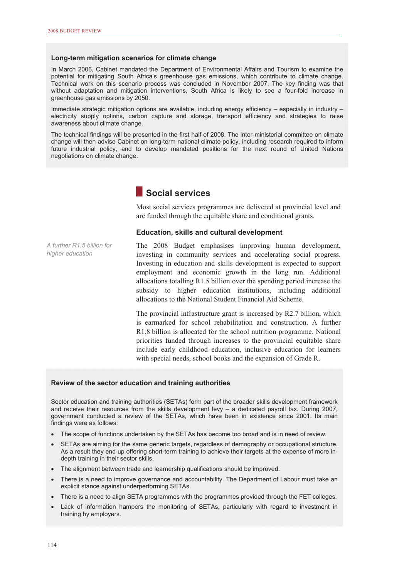#### **Long-term mitigation scenarios for climate change**

In March 2006, Cabinet mandated the Department of Environmental Affairs and Tourism to examine the potential for mitigating South Africa's greenhouse gas emissions, which contribute to climate change. Technical work on this scenario process was concluded in November 2007. The key finding was that without adaptation and mitigation interventions, South Africa is likely to see a four-fold increase in greenhouse gas emissions by 2050.

Immediate strategic mitigation options are available, including energy efficiency – especially in industry – electricity supply options, carbon capture and storage, transport efficiency and strategies to raise awareness about climate change.

The technical findings will be presented in the first half of 2008. The inter-ministerial committee on climate change will then advise Cabinet on long-term national climate policy, including research required to inform future industrial policy, and to develop mandated positions for the next round of United Nations negotiations on climate change.



Most social services programmes are delivered at provincial level and are funded through the equitable share and conditional grants.

#### **Education, skills and cultural development**

*A further R1.5 billion for higher education* 

The 2008 Budget emphasises improving human development, investing in community services and accelerating social progress. Investing in education and skills development is expected to support employment and economic growth in the long run. Additional allocations totalling R1.5 billion over the spending period increase the subsidy to higher education institutions, including additional allocations to the National Student Financial Aid Scheme.

The provincial infrastructure grant is increased by R2.7 billion, which is earmarked for school rehabilitation and construction. A further R1.8 billion is allocated for the school nutrition programme. National priorities funded through increases to the provincial equitable share include early childhood education, inclusive education for learners with special needs, school books and the expansion of Grade R.

#### **Review of the sector education and training authorities**

Sector education and training authorities (SETAs) form part of the broader skills development framework and receive their resources from the skills development levy – a dedicated payroll tax. During 2007, government conducted a review of the SETAs, which have been in existence since 2001. Its main findings were as follows:

- The scope of functions undertaken by the SETAs has become too broad and is in need of review.
- SETAs are aiming for the same generic targets, regardless of demography or occupational structure. As a result they end up offering short-term training to achieve their targets at the expense of more indepth training in their sector skills.
- The alignment between trade and learnership qualifications should be improved.
- There is a need to improve governance and accountability. The Department of Labour must take an explicit stance against underperforming SETAs.
- There is a need to align SETA programmes with the programmes provided through the FET colleges.
- Lack of information hampers the monitoring of SETAs, particularly with regard to investment in training by employers.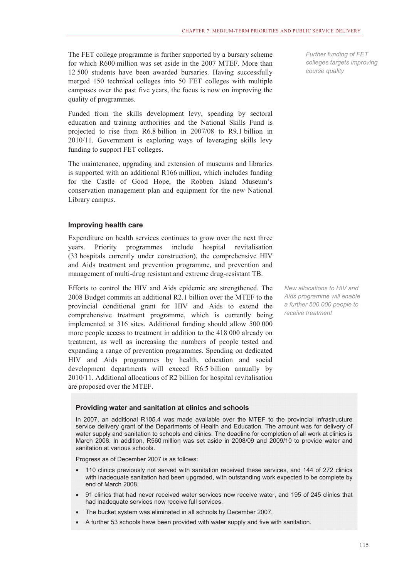The FET college programme is further supported by a bursary scheme for which R600 million was set aside in the 2007 MTEF. More than 12 500 students have been awarded bursaries. Having successfully merged 150 technical colleges into 50 FET colleges with multiple campuses over the past five years, the focus is now on improving the quality of programmes.

Funded from the skills development levy, spending by sectoral education and training authorities and the National Skills Fund is projected to rise from R6.8 billion in 2007/08 to R9.1 billion in 2010/11. Government is exploring ways of leveraging skills levy funding to support FET colleges.

The maintenance, upgrading and extension of museums and libraries is supported with an additional R166 million, which includes funding for the Castle of Good Hope, the Robben Island Museum's conservation management plan and equipment for the new National Library campus.

#### **Improving health care**

Expenditure on health services continues to grow over the next three years. Priority programmes include hospital revitalisation (33 hospitals currently under construction), the comprehensive HIV and Aids treatment and prevention programme, and prevention and management of multi-drug resistant and extreme drug-resistant TB.

Efforts to control the HIV and Aids epidemic are strengthened. The 2008 Budget commits an additional R2.1 billion over the MTEF to the provincial conditional grant for HIV and Aids to extend the comprehensive treatment programme, which is currently being implemented at 316 sites. Additional funding should allow 500 000 more people access to treatment in addition to the 418 000 already on treatment, as well as increasing the numbers of people tested and expanding a range of prevention programmes. Spending on dedicated HIV and Aids programmes by health, education and social development departments will exceed R6.5 billion annually by 2010/11. Additional allocations of R2 billion for hospital revitalisation are proposed over the MTEF.

*Further funding of FET colleges targets improving course quality* 

*New allocations to HIV and Aids programme will enable a further 500 000 people to receive treatment* 

#### **Providing water and sanitation at clinics and schools**

In 2007, an additional R105.4 was made available over the MTEF to the provincial infrastructure service delivery grant of the Departments of Health and Education. The amount was for delivery of water supply and sanitation to schools and clinics. The deadline for completion of all work at clinics is March 2008. In addition, R560 million was set aside in 2008/09 and 2009/10 to provide water and sanitation at various schools.

Progress as of December 2007 is as follows:

- 110 clinics previously not served with sanitation received these services, and 144 of 272 clinics with inadequate sanitation had been upgraded, with outstanding work expected to be complete by end of March 2008.
- 91 clinics that had never received water services now receive water, and 195 of 245 clinics that had inadequate services now receive full services.
- The bucket system was eliminated in all schools by December 2007.
- A further 53 schools have been provided with water supply and five with sanitation.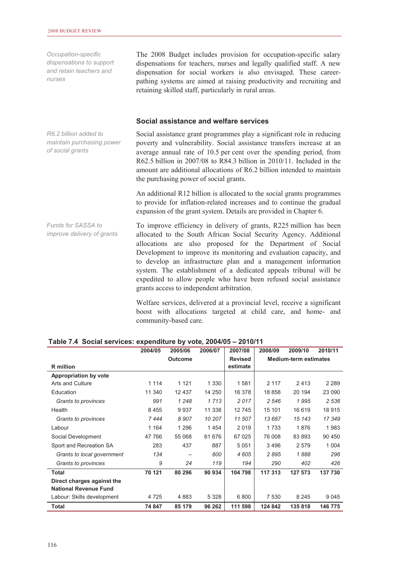*Occupation-specific dispensations to support and retain teachers and nurses* 

*R6.2 billion added to maintain purchasing power* 

*of social grants* 

The 2008 Budget includes provision for occupation-specific salary dispensations for teachers, nurses and legally qualified staff. A new dispensation for social workers is also envisaged. These careerpathing systems are aimed at raising productivity and recruiting and retaining skilled staff, particularly in rural areas.

#### **Social assistance and welfare services**

Social assistance grant programmes play a significant role in reducing poverty and vulnerability. Social assistance transfers increase at an average annual rate of 10.5 per cent over the spending period, from R62.5 billion in 2007/08 to R84.3 billion in 2010/11. Included in the amount are additional allocations of R6.2 billion intended to maintain the purchasing power of social grants.

An additional R12 billion is allocated to the social grants programmes to provide for inflation-related increases and to continue the gradual expansion of the grant system. Details are provided in Chapter 6.

To improve efficiency in delivery of grants, R225 million has been allocated to the South African Social Security Agency. Additional allocations are also proposed for the Department of Social Development to improve its monitoring and evaluation capacity, and to develop an infrastructure plan and a management information system. The establishment of a dedicated appeals tribunal will be expedited to allow people who have been refused social assistance grants access to independent arbitration. *Funds for SASSA to improve delivery of grants* 

> Welfare services, delivered at a provincial level, receive a significant boost with allocations targeted at child care, and home- and community-based care.

|                                                            | 2004/05 | 2005/06        | 2006/07 | 2007/08        | 2008/09 | 2009/10                      | 2010/11 |
|------------------------------------------------------------|---------|----------------|---------|----------------|---------|------------------------------|---------|
|                                                            |         | <b>Outcome</b> |         | <b>Revised</b> |         | <b>Medium-term estimates</b> |         |
| <b>R</b> million                                           |         |                |         | estimate       |         |                              |         |
| <b>Appropriation by vote</b>                               |         |                |         |                |         |                              |         |
| Arts and Culture                                           | 1 1 1 4 | 1 1 2 1        | 1 3 3 0 | 1581           | 2 1 1 7 | 2413                         | 2 2 8 9 |
| Education                                                  | 11 340  | 12 437         | 14 250  | 16 378         | 18 858  | 20 194                       | 23 090  |
| Grants to provinces                                        | 991     | 1 2 4 8        | 1713    | 2017           | 2 5 4 6 | 1995                         | 2 5 3 6 |
| Health                                                     | 8 4 5 5 | 9937           | 11 338  | 12745          | 15 101  | 16 619                       | 18 915  |
| Grants to provinces                                        | 7444    | 8 9 0 7        | 10 207  | 11 507         | 13 687  | 15 143                       | 17 349  |
| Labour                                                     | 1 1 6 4 | 1 2 9 6        | 1454    | 2019           | 1733    | 1876                         | 1983    |
| Social Development                                         | 47 766  | 55 068         | 61 676  | 67 0 25        | 76 008  | 83 893                       | 90 450  |
| Sport and Recreation SA                                    | 283     | 437            | 887     | 5 0 5 1        | 3 4 9 6 | 2 5 7 9                      | 1 0 0 4 |
| Grants to local government                                 | 134     |                | 600     | 4605           | 2895    | 1888                         | 296     |
| Grants to provinces                                        | 9       | 24             | 119     | 194            | 290     | 402                          | 426     |
| Total                                                      | 70 121  | 80 296         | 90 934  | 104 798        | 117 313 | 127 573                      | 137 730 |
| Direct charges against the<br><b>National Revenue Fund</b> |         |                |         |                |         |                              |         |
| Labour: Skills development                                 | 4 7 2 5 | 4 8 8 3        | 5 3 2 8 | 6 800          | 7 5 3 0 | 8 2 4 5                      | 9 0 4 5 |
| Total                                                      | 74 847  | 85 179         | 96 262  | 111 598        | 124 842 | 135818                       | 146 775 |

#### **Table 7.4 Social services: expenditure by vote, 2004/05 – 2010/11**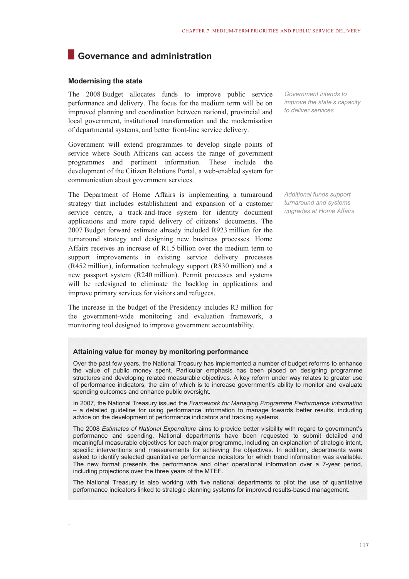# **Governance and administration**

#### **Modernising the state**

.

The 2008 Budget allocates funds to improve public service performance and delivery. The focus for the medium term will be on improved planning and coordination between national, provincial and local government, institutional transformation and the modernisation of departmental systems, and better front-line service delivery.

Government will extend programmes to develop single points of service where South Africans can access the range of government programmes and pertinent information. These include the development of the Citizen Relations Portal, a web-enabled system for communication about government services.

The Department of Home Affairs is implementing a turnaround strategy that includes establishment and expansion of a customer service centre, a track-and-trace system for identity document applications and more rapid delivery of citizens' documents. The 2007 Budget forward estimate already included R923 million for the turnaround strategy and designing new business processes. Home Affairs receives an increase of R1.5 billion over the medium term to support improvements in existing service delivery processes (R452 million), information technology support (R830 million) and a new passport system (R240 million). Permit processes and systems will be redesigned to eliminate the backlog in applications and improve primary services for visitors and refugees.

The increase in the budget of the Presidency includes R3 million for the government-wide monitoring and evaluation framework, a monitoring tool designed to improve government accountability.

**Attaining value for money by monitoring performance** 

Over the past few years, the National Treasury has implemented a number of budget reforms to enhance the value of public money spent. Particular emphasis has been placed on designing programme structures and developing related measurable objectives. A key reform under way relates to greater use of performance indicators, the aim of which is to increase government's ability to monitor and evaluate spending outcomes and enhance public oversight.

In 2007, the National Treasury issued the *Framework for Managing Programme Performance Information* – a detailed guideline for using performance information to manage towards better results, including advice on the development of performance indicators and tracking systems.

The 2008 *Estimates of National Expenditure* aims to provide better visibility with regard to government's performance and spending. National departments have been requested to submit detailed and meaningful measurable objectives for each major programme, including an explanation of strategic intent, specific interventions and measurements for achieving the objectives. In addition, departments were asked to identify selected quantitative performance indicators for which trend information was available. The new format presents the performance and other operational information over a 7-year period, including projections over the three years of the MTEF.

The National Treasury is also working with five national departments to pilot the use of quantitative performance indicators linked to strategic planning systems for improved results-based management.

*Government intends to improve the state's capacity to deliver services* 

*Additional funds support turnaround and systems upgrades at Home Affairs*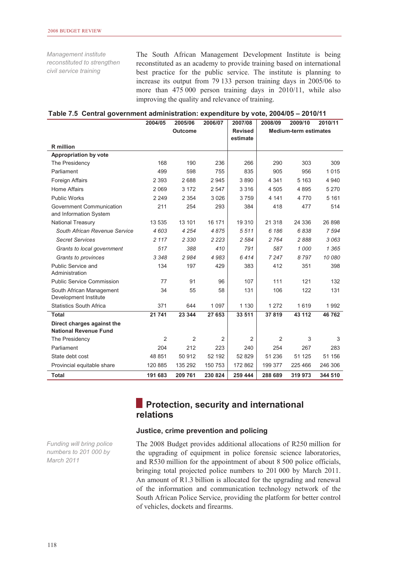*Management institute reconstituted to strengthen civil service training* 

The South African Management Development Institute is being reconstituted as an academy to provide training based on international best practice for the public service. The institute is planning to increase its output from 79 133 person training days in 2005/06 to more than 475 000 person training days in 2010/11, while also improving the quality and relevance of training.

|  | Table 7.5 Central government administration: expenditure by vote, 2004/05 - 2010/11 |  |  |
|--|-------------------------------------------------------------------------------------|--|--|
|--|-------------------------------------------------------------------------------------|--|--|

|                                                            | 2004/05        | 2005/06        | 2006/07        | 2007/08        | 2008/09 | 2009/10                      | 2010/11 |
|------------------------------------------------------------|----------------|----------------|----------------|----------------|---------|------------------------------|---------|
|                                                            |                | <b>Outcome</b> |                | <b>Revised</b> |         | <b>Medium-term estimates</b> |         |
|                                                            |                |                |                | estimate       |         |                              |         |
| <b>R</b> million                                           |                |                |                |                |         |                              |         |
| Appropriation by vote                                      | 168            | 190            | 236            |                | 290     | 303                          |         |
| The Presidency                                             |                |                |                | 266            |         |                              | 309     |
| Parliament                                                 | 499            | 598            | 755            | 835            | 905     | 956                          | 1015    |
| Foreign Affairs                                            | 2 3 9 3        | 2688           | 2945           | 3890           | 4 3 4 1 | 5 1 6 3                      | 4 9 4 0 |
| Home Affairs                                               | 2 0 6 9        | 3 1 7 2        | 2 5 4 7        | 3 3 1 6        | 4 5 0 5 | 4895                         | 5 2 7 0 |
| <b>Public Works</b>                                        | 2 2 4 9        | 2 3 5 4        | 3026           | 3759           | 4 1 4 1 | 4 7 7 0                      | 5 1 6 1 |
| Government Communication<br>and Information System         | 211            | 254            | 293            | 384            | 418     | 477                          | 514     |
| National Treasury                                          | 13 535         | 13 101         | 16 171         | 19 310         | 21 318  | 24 336                       | 26 898  |
| South African Revenue Service                              | 4 603          | 4 2 5 4        | 4875           | 5511           | 6 1 8 6 | 6838                         | 7594    |
| <b>Secret Services</b>                                     | 2 1 1 7        | 2 3 3 0        | 2 2 2 3        | 2 5 8 4        | 2 7 6 4 | 2888                         | 3063    |
| Grants to local government                                 | 517            | 388            | 410            | 791            | 587     | 1000                         | 1 3 6 5 |
| Grants to provinces                                        | 3 3 4 8        | 2984           | 4983           | 6414           | 7 2 4 7 | 8797                         | 10 080  |
| Public Service and                                         | 134            | 197            | 429            | 383            | 412     | 351                          | 398     |
| Administration                                             |                |                |                |                |         |                              |         |
| <b>Public Service Commission</b>                           | 77             | 91             | 96             | 107            | 111     | 121                          | 132     |
| South African Management<br>Development Institute          | 34             | 55             | 58             | 131            | 106     | 122                          | 131     |
| <b>Statistics South Africa</b>                             | 371            | 644            | 1 0 9 7        | 1 1 3 0        | 1 2 7 2 | 1619                         | 1992    |
| <b>Total</b>                                               | 21 741         | 23 344         | 27 653         | 33 511         | 37819   | 43 112                       | 46762   |
| Direct charges against the<br><b>National Revenue Fund</b> |                |                |                |                |         |                              |         |
| The Presidency                                             | $\overline{2}$ | 2              | $\overline{2}$ | $\overline{2}$ | 2       | 3                            | 3       |
| Parliament                                                 | 204            | 212            | 223            | 240            | 254     | 267                          | 283     |
| State debt cost                                            | 48 851         | 50 912         | 52 192         | 52 829         | 51 236  | 51 125                       | 51 156  |
| Provincial equitable share                                 | 120 885        | 135 292        | 150 753        | 172 862        | 199 377 | 225 466                      | 246 306 |
| <b>Total</b>                                               | 191 683        | 209 761        | 230 824        | 259 444        | 288 689 | 319 973                      | 344 510 |

# **Protection, security and international relations**

#### **Justice, crime prevention and policing**

*Funding will bring police numbers to 201 000 by March 2011* 

The 2008 Budget provides additional allocations of R250 million for the upgrading of equipment in police forensic science laboratories, and R530 million for the appointment of about 8 500 police officials, bringing total projected police numbers to 201 000 by March 2011. An amount of R1.3 billion is allocated for the upgrading and renewal of the information and communication technology network of the South African Police Service, providing the platform for better control of vehicles, dockets and firearms.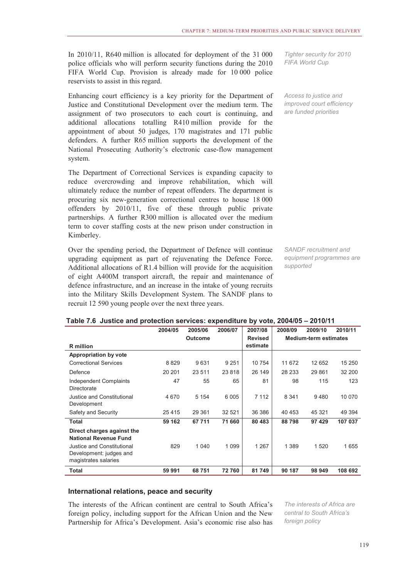In 2010/11, R640 million is allocated for deployment of the 31 000 police officials who will perform security functions during the 2010 FIFA World Cup. Provision is already made for 10 000 police reservists to assist in this regard.

Enhancing court efficiency is a key priority for the Department of Justice and Constitutional Development over the medium term. The assignment of two prosecutors to each court is continuing, and additional allocations totalling R410 million provide for the appointment of about 50 judges, 170 magistrates and 171 public defenders. A further R65 million supports the development of the National Prosecuting Authority's electronic case-flow management system.

The Department of Correctional Services is expanding capacity to reduce overcrowding and improve rehabilitation, which will ultimately reduce the number of repeat offenders. The department is procuring six new-generation correctional centres to house 18 000 offenders by 2010/11, five of these through public private partnerships. A further R300 million is allocated over the medium term to cover staffing costs at the new prison under construction in Kimberley.

Over the spending period, the Department of Defence will continue upgrading equipment as part of rejuvenating the Defence Force. Additional allocations of R1.4 billion will provide for the acquisition of eight A400M transport aircraft, the repair and maintenance of defence infrastructure, and an increase in the intake of young recruits into the Military Skills Development System. The SANDF plans to recruit 12 590 young people over the next three years.

*Tighter security for 2010 FIFA World Cup* 

*Access to justice and improved court efficiency are funded priorities*

*SANDF recruitment and equipment programmes are supported* 

|                                                                               | ∠∪−7≀∪         | ∠∪∪∪∪   | 4000/07 | 4001100        | 2000/03 | ∠∪∪ סו  | 49 I VI I I                  |  |
|-------------------------------------------------------------------------------|----------------|---------|---------|----------------|---------|---------|------------------------------|--|
|                                                                               | <b>Outcome</b> |         |         | <b>Revised</b> |         |         | <b>Medium-term estimates</b> |  |
| R million                                                                     |                |         |         | estimate       |         |         |                              |  |
| <b>Appropriation by vote</b>                                                  |                |         |         |                |         |         |                              |  |
| <b>Correctional Services</b>                                                  | 8829           | 9631    | 9 2 5 1 | 10 754         | 11 672  | 12 652  | 15 250                       |  |
| Defence                                                                       | 20 20 1        | 23 511  | 23 818  | 26 149         | 28 233  | 29 861  | 32 200                       |  |
| Independent Complaints<br>Directorate                                         | 47             | 55      | 65      | 81             | 98      | 115     | 123                          |  |
| Justice and Constitutional<br>Development                                     | 4670           | 5 1 5 4 | 6 0 0 5 | 7 1 1 2        | 8 3 4 1 | 9480    | 10 070                       |  |
| Safety and Security                                                           | 25 4 15        | 29 361  | 32 521  | 36 386         | 40 453  | 45 321  | 49 3 94                      |  |
| Total                                                                         | 59 162         | 67 711  | 71 660  | 80 483         | 88798   | 97 429  | 107 037                      |  |
| Direct charges against the<br><b>National Revenue Fund</b>                    |                |         |         |                |         |         |                              |  |
| Justice and Constitutional<br>Development: judges and<br>magistrates salaries | 829            | 1 0 4 0 | 1 0 9 9 | 1 2 6 7        | 1 3 8 9 | 1 5 2 0 | 1655                         |  |
| Total                                                                         | 59 991         | 68 751  | 72760   | 81 749         | 90 187  | 98 949  | 108 692                      |  |

#### **Table 7.6 Justice and protection services: expenditure by vote, 2004/05 – 2010/11**

**2004/05 2005/06 2006/07 2007/08 2008/09 2009/10 2010/11**

#### **International relations, peace and security**

The interests of the African continent are central to South Africa's foreign policy, including support for the African Union and the New Partnership for Africa's Development. Asia's economic rise also has

*The interests of Africa are central to South Africa's foreign policy*